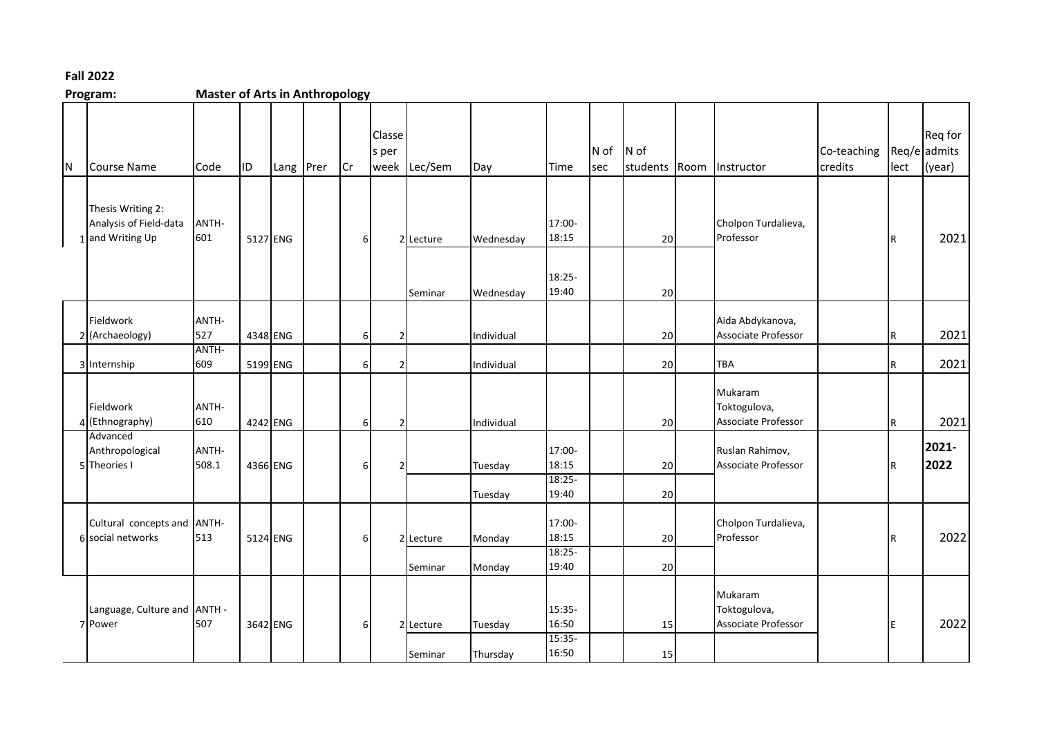## **Fall 2022**

**Program: Master of Arts in Anthropology** N Course Name | Code | ID | Lang Prer | Cr Classe s per week Lec/Sem Day Time N of sec N of students Room Instructor Co-teaching credits Req/e admits lect Req for (year) 1 and Writing Up Thesis Writing 2: Analysis of Field-data ANTH-601 5127 ENG 6 2 Lecture Wednesday 17:00- 18:15 20 Cholpon Turdalieva, Professor **R** 2021 Seminar Wednesday 18:25- 19:40 20 2 (Archaeology) Fieldwork ANTH-527 4348 ENG 6 2 Individual 20 Aida Abdykanova, Associate Professor R R 2021 3 Internship ANTH-609 5199 ENG 6 2 Individual 20 TBA R 2021 4 (Ethnography) Fieldwork ANTH-610 4242 ENG 6 2 Individual 20 Mukaram Toktogulova, Associate Professor R R 2021 5 Theories I Advanced Anthropological ANTH-508.1 4366 ENG 6 2 Tuesday 17:00- 18:15 20 Ruslan Rahimov, Associate Professor **R 2021- 2022** Tuesday 18:25- 19:40 20 6 social networks Cultural concepts and ANTH-513 5124 ENG 6 2 Lecture Monday 17:00- 18:15 20 Cholpon Turdalieva, Professor **R** 2022 Seminar Monday 18:25- 19:40 20 7 Power Language, Culture and ANTH - 507 3642 ENG 6 2 Lecture Tuesday 15:35- 16:50 15 Mukaram Toktogulova, Associate Professor **E** 2022 Seminar Thursday 15:35- 16:50 15